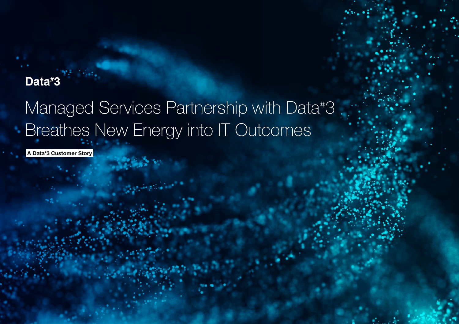# Data#3

# Managed Services Partnership with Data# 3 Breathes New Energy into IT Outcomes

A Data# 3 Customer Story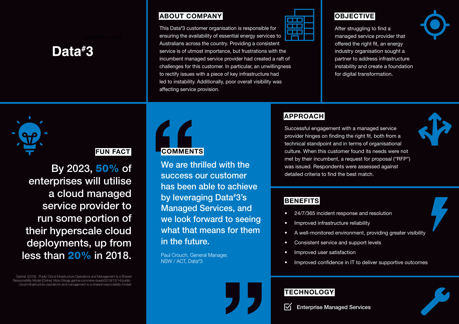# Data#3

### ABOUT COMPANY

This Data# 3 customer organisation is responsible for ensuring the availability of essential energy services to Australians across the country. Providing a consistent service is of utmost importance, but frustrations with the incumbent managed service provider had created a raft of challenges for this customer. In particular, an unwillingness to rectify issues with a piece of key infrastructure had led to instability. Additionally, poor overall visibility was affecting service provision.



### **OBJECTIVE**

After struggling to find a managed service provider that offered the right fit, an energy industry organisation sought a partner to address infrastructure instability and create a foundation for digital transformation.



# **APPROACH**

Successful engagement with a managed service provider hinges on finding the right fit, both from a technical standpoint and in terms of organisational culture. When this customer found its needs were not met by their incumbent, a request for proposal ("RFP") was issued. Respondents were assessed against detailed criteria to find the best match.



## **FUN FACT**

By 2023, 50% of enterprises will utilise a cloud managed service provider to run some portion of their hyperscale cloud deployments, up from less than 20% in 2018.

Gartner (2018), Public Cloud Infrastructure Operations and Management Is a Shared Responsibility Model [Online] https://blogs.gartner.com/rene-buest/2018/12/14/publiccloud-infrastructure-operations-and-management-is-a-shared-responsibility-model/



success our customer has been able to achieve by leveraging Data# 3's Managed Services, and we look forward to seeing what that means for them in the future.

Paul Crouch, General Manager, NSW / ACT, Data# 3

### **BENEFITS**

- 24/7/365 incident response and resolution
- Improved infrastructure reliability
- A well-monitored environment, providing greater visibility
- Consistent service and support levels
- Improved user satisfaction
- Improved confidence in IT to deliver supportive outcomes

## **TECHNOLOGY**

⊠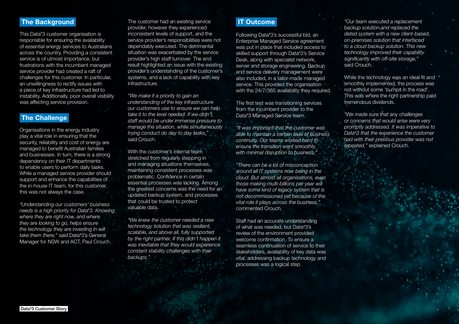#### The Background

This Data# 3 customer organisation is responsible for ensuring the availability of essential energy services to Australians across the country. Providing a consistent service is of utmost importance, but frustrations with the incumbent managed service provider had created a raft of challenges for this customer. In particular, an unwillingness to rectify issues with a piece of key infrastructure had led to instability. Additionally, poor overall visibility was affecting service provision.

### **The Challenge**

Organisations in the energy industry play a vital role in ensuring that the security, reliability and cost of energy are managed to benefit Australian families and businesses. In turn, there is a strong dependency on their IT departments to enable users to perform daily tasks. While a managed service provider should support and enhance the capabilities of the in-house IT team, for this customer, this was not always the case.

*"Understanding our customers' business needs is a high priority for Data# 3. Knowing where they are right now, and where they are looking to go, helps ensure the technology they are investing in will take them there,"* said Data# 3's General Manager for NSW and ACT, Paul Crouch.

The customer had an existing service provider, however they experienced inconsistent levels of support, and the service provider's responsibilities were not dependably executed. The detrimental situation was exacerbated by the service provider's high staff turnover. The end result highlighted an issue with the existing provider's understanding of the customer's systems, and a lack of capability with key infrastructure.

*"We make it a priority to gain an understanding of the key infrastructure our customers use to ensure we can help take it to the level needed. If we didn't, staff would be under immense pressure to manage the situation, while simultaneously trying conduct do day to day tasks,"*  said Crouch.

With the customer's internal team stretched from regularly stepping in and managing situations themselves, maintaining consistent processes was problematic. Confidence in certain essential processes was lacking. Among the greatest concerns was the need for an updated backup system, and processes that could be trusted to protect valuable data.

*"We knew the customer needed a new technology solution that was resilient, scalable, and above all, fully supported by the right partner. If this didn't happen it was inevitable that they would experience constant stability challenges with their backups."* 

### IT Outcome

Following Data# 3's successful bid, an Enterprise Managed Service agreement was put in place that included access to skilled support through Data# 3's Service Desk, along with specialist network, server and storage engineering. Backup and service delivery management were also included, in a tailor-made managed service. This provided the organisation with the 24/7/365 availability they required.

The first test was transitioning services from the incumbent provider to the Data# 3 Managed Service team.

*"It was important that the customer was able to maintain a certain level of business continuity. Our teams worked hard to ensure the transition went smoothly, with minimal disruption to business."*

*"There can be a lot of misconception around all IT systems now being in the cloud. But almost all organisations, even those making multi-billions per year will have some kind of legacy system that is not decommissioned yet because of the vital role it plays across the business,"*  commented Crouch.

Staff had an accurate understanding of what was needed, but Data# 3's review of the environment provided welcome confirmation. To ensure a seamless continuation of service to their stakeholders, availability of key data was vital; addressing backup technology and processes was a logical step.

*"Our team executed a replacement backup solution and replaced the dated system with a new client-based, on-premises solution that interfaced to a cloud backup solution. This new technology improved their capability significantly with off-site storage,"*  said Crouch.

While the technology was an ideal fit and smoothly implemented, the process was not without some 'bumps in the road'. This was where the right partnership paid tremendous dividends.

*"We made sure that any challenges or concerns that would arise were very promptly addressed. It was imperative to Data# 3 that the experience the customer had with their previous provider was not repeated,"* explained Crouch.